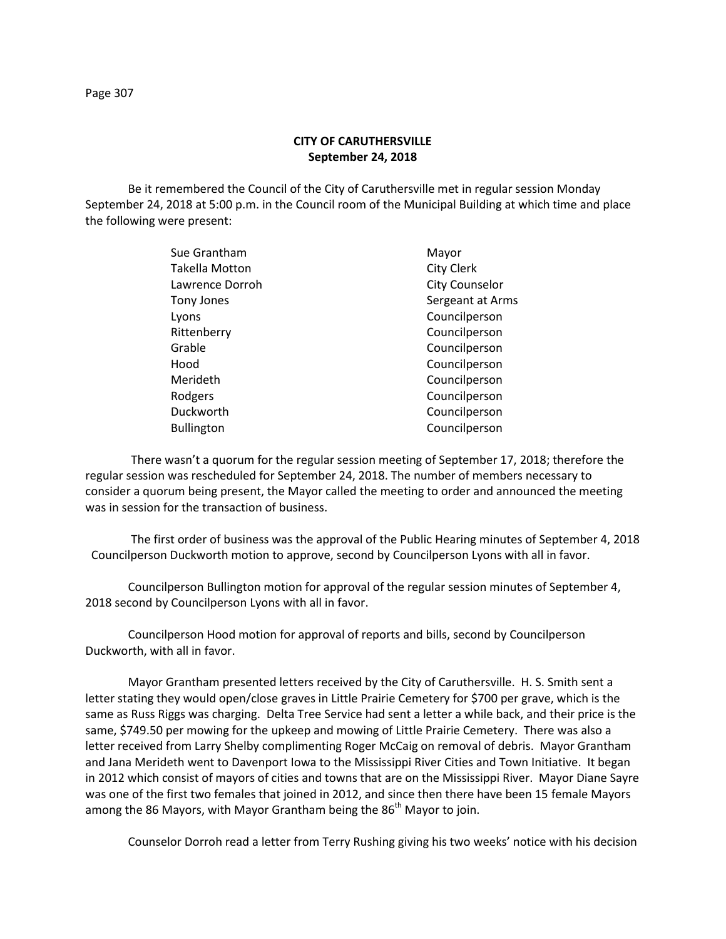## **CITY OF CARUTHERSVILLE September 24, 2018**

Be it remembered the Council of the City of Caruthersville met in regular session Monday September 24, 2018 at 5:00 p.m. in the Council room of the Municipal Building at which time and place the following were present:

| Sue Grantham          | Mayor                 |
|-----------------------|-----------------------|
| <b>Takella Motton</b> | City Clerk            |
| Lawrence Dorroh       | <b>City Counselor</b> |
| Tony Jones            | Sergeant at Arms      |
| Lyons                 | Councilperson         |
| Rittenberry           | Councilperson         |
| Grable                | Councilperson         |
| Hood                  | Councilperson         |
| Merideth              | Councilperson         |
| Rodgers               | Councilperson         |
| Duckworth             | Councilperson         |
| <b>Bullington</b>     | Councilperson         |

There wasn't a quorum for the regular session meeting of September 17, 2018; therefore the regular session was rescheduled for September 24, 2018. The number of members necessary to consider a quorum being present, the Mayor called the meeting to order and announced the meeting was in session for the transaction of business.

The first order of business was the approval of the Public Hearing minutes of September 4, 2018 Councilperson Duckworth motion to approve, second by Councilperson Lyons with all in favor.

Councilperson Bullington motion for approval of the regular session minutes of September 4, 2018 second by Councilperson Lyons with all in favor.

Councilperson Hood motion for approval of reports and bills, second by Councilperson Duckworth, with all in favor.

Mayor Grantham presented letters received by the City of Caruthersville. H. S. Smith sent a letter stating they would open/close graves in Little Prairie Cemetery for \$700 per grave, which is the same as Russ Riggs was charging. Delta Tree Service had sent a letter a while back, and their price is the same, \$749.50 per mowing for the upkeep and mowing of Little Prairie Cemetery. There was also a letter received from Larry Shelby complimenting Roger McCaig on removal of debris. Mayor Grantham and Jana Merideth went to Davenport Iowa to the Mississippi River Cities and Town Initiative. It began in 2012 which consist of mayors of cities and towns that are on the Mississippi River. Mayor Diane Sayre was one of the first two females that joined in 2012, and since then there have been 15 female Mayors among the 86 Mayors, with Mayor Grantham being the  $86<sup>th</sup>$  Mayor to join.

Counselor Dorroh read a letter from Terry Rushing giving his two weeks' notice with his decision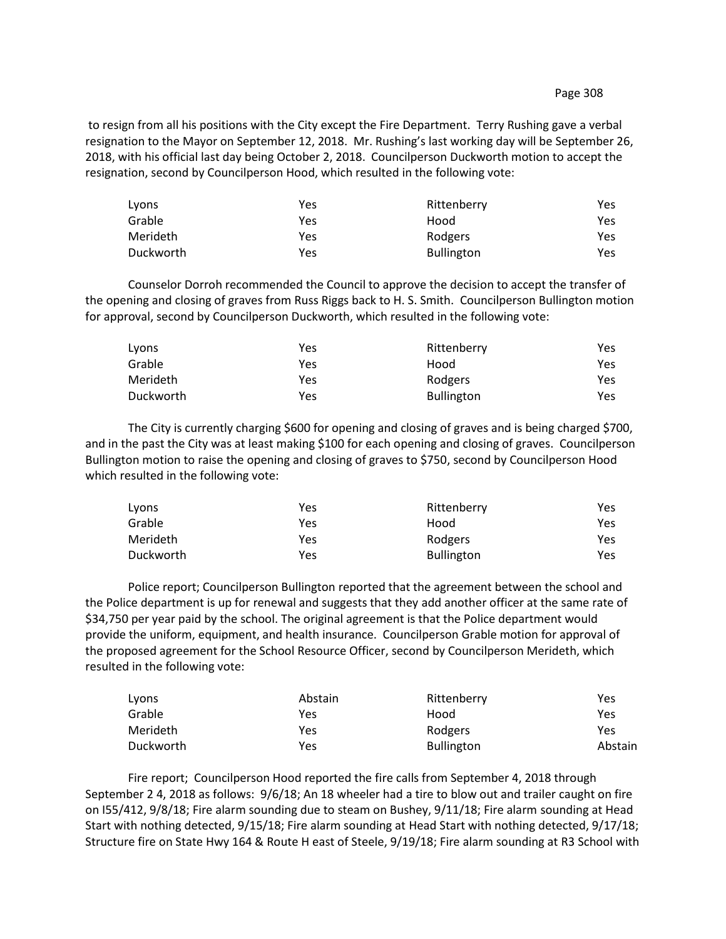to resign from all his positions with the City except the Fire Department. Terry Rushing gave a verbal resignation to the Mayor on September 12, 2018. Mr. Rushing's last working day will be September 26, 2018, with his official last day being October 2, 2018. Councilperson Duckworth motion to accept the resignation, second by Councilperson Hood, which resulted in the following vote:

| Lyons     | Yes | Rittenberry       | Yes |
|-----------|-----|-------------------|-----|
| Grable    | Yes | Hood              | Yes |
| Merideth  | Yes | Rodgers           | Yes |
| Duckworth | Yes | <b>Bullington</b> | Yes |

Counselor Dorroh recommended the Council to approve the decision to accept the transfer of the opening and closing of graves from Russ Riggs back to H. S. Smith. Councilperson Bullington motion for approval, second by Councilperson Duckworth, which resulted in the following vote:

| Lyons     | Yes | Rittenberry       | Yes |
|-----------|-----|-------------------|-----|
| Grable    | Yes | Hood              | Yes |
| Merideth  | Yes | Rodgers           | Yes |
| Duckworth | Yes | <b>Bullington</b> | Yes |

The City is currently charging \$600 for opening and closing of graves and is being charged \$700, and in the past the City was at least making \$100 for each opening and closing of graves. Councilperson Bullington motion to raise the opening and closing of graves to \$750, second by Councilperson Hood which resulted in the following vote:

| Lyons     | Yes | Rittenberry       | Yes. |
|-----------|-----|-------------------|------|
| Grable    | Yes | Hood              | Yes  |
| Merideth  | Yes | Rodgers           | Yes  |
| Duckworth | Yes | <b>Bullington</b> | Yes. |

Police report; Councilperson Bullington reported that the agreement between the school and the Police department is up for renewal and suggests that they add another officer at the same rate of \$34,750 per year paid by the school. The original agreement is that the Police department would provide the uniform, equipment, and health insurance. Councilperson Grable motion for approval of the proposed agreement for the School Resource Officer, second by Councilperson Merideth, which resulted in the following vote:

| Lyons     | Abstain | Rittenberry       | Yes     |  |
|-----------|---------|-------------------|---------|--|
| Grable    | Yes     | Hood              | Yes     |  |
| Merideth  | Yes     | Rodgers           | Yes     |  |
| Duckworth | Yes     | <b>Bullington</b> | Abstain |  |

Fire report; Councilperson Hood reported the fire calls from September 4, 2018 through September 2 4, 2018 as follows: 9/6/18; An 18 wheeler had a tire to blow out and trailer caught on fire on I55/412, 9/8/18; Fire alarm sounding due to steam on Bushey, 9/11/18; Fire alarm sounding at Head Start with nothing detected, 9/15/18; Fire alarm sounding at Head Start with nothing detected, 9/17/18; Structure fire on State Hwy 164 & Route H east of Steele, 9/19/18; Fire alarm sounding at R3 School with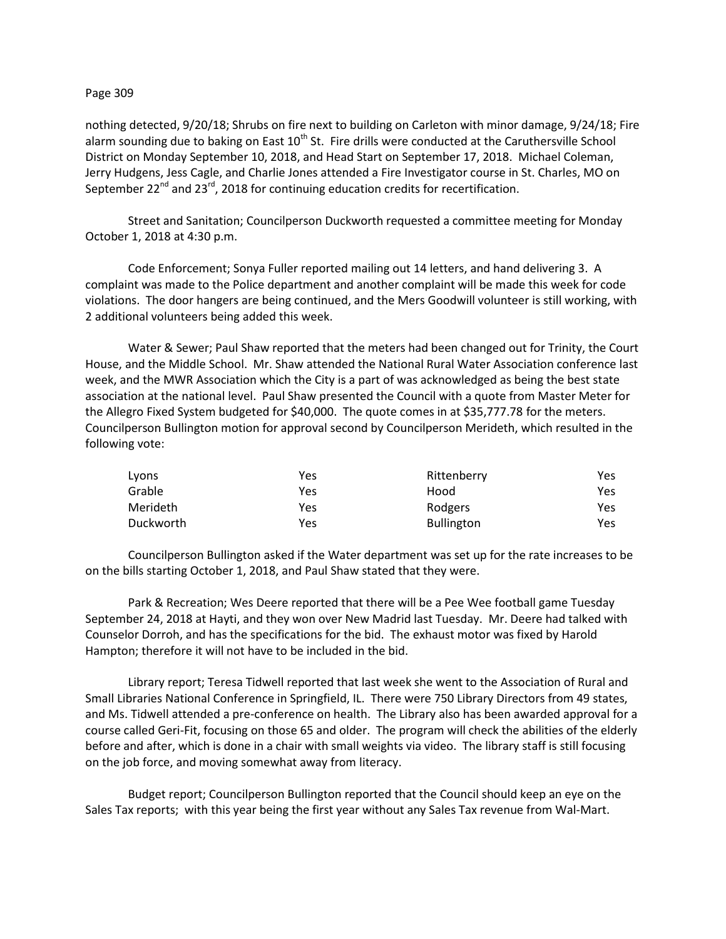## Page 309

nothing detected, 9/20/18; Shrubs on fire next to building on Carleton with minor damage, 9/24/18; Fire alarm sounding due to baking on East 10<sup>th</sup> St. Fire drills were conducted at the Caruthersville School District on Monday September 10, 2018, and Head Start on September 17, 2018. Michael Coleman, Jerry Hudgens, Jess Cagle, and Charlie Jones attended a Fire Investigator course in St. Charles, MO on September  $22^{nd}$  and  $23^{rd}$ , 2018 for continuing education credits for recertification.

Street and Sanitation; Councilperson Duckworth requested a committee meeting for Monday October 1, 2018 at 4:30 p.m.

Code Enforcement; Sonya Fuller reported mailing out 14 letters, and hand delivering 3. A complaint was made to the Police department and another complaint will be made this week for code violations. The door hangers are being continued, and the Mers Goodwill volunteer is still working, with 2 additional volunteers being added this week.

Water & Sewer; Paul Shaw reported that the meters had been changed out for Trinity, the Court House, and the Middle School. Mr. Shaw attended the National Rural Water Association conference last week, and the MWR Association which the City is a part of was acknowledged as being the best state association at the national level. Paul Shaw presented the Council with a quote from Master Meter for the Allegro Fixed System budgeted for \$40,000. The quote comes in at \$35,777.78 for the meters. Councilperson Bullington motion for approval second by Councilperson Merideth, which resulted in the following vote:

| Lyons     | Yes | Rittenberry       | Yes  |
|-----------|-----|-------------------|------|
| Grable    | Yes | Hood              | Yes. |
| Merideth  | Yes | Rodgers           | Yes. |
| Duckworth | Yes | <b>Bullington</b> | Yes. |

Councilperson Bullington asked if the Water department was set up for the rate increases to be on the bills starting October 1, 2018, and Paul Shaw stated that they were.

Park & Recreation; Wes Deere reported that there will be a Pee Wee football game Tuesday September 24, 2018 at Hayti, and they won over New Madrid last Tuesday. Mr. Deere had talked with Counselor Dorroh, and has the specifications for the bid. The exhaust motor was fixed by Harold Hampton; therefore it will not have to be included in the bid.

Library report; Teresa Tidwell reported that last week she went to the Association of Rural and Small Libraries National Conference in Springfield, IL. There were 750 Library Directors from 49 states, and Ms. Tidwell attended a pre-conference on health. The Library also has been awarded approval for a course called Geri-Fit, focusing on those 65 and older. The program will check the abilities of the elderly before and after, which is done in a chair with small weights via video. The library staff is still focusing on the job force, and moving somewhat away from literacy.

Budget report; Councilperson Bullington reported that the Council should keep an eye on the Sales Tax reports; with this year being the first year without any Sales Tax revenue from Wal-Mart.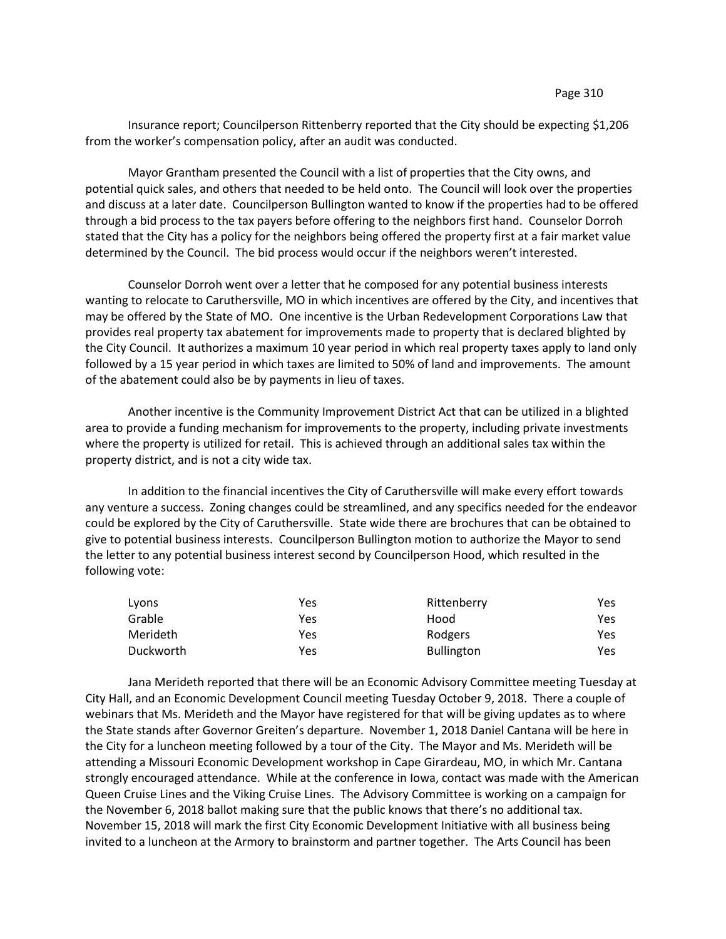Insurance report; Councilperson Rittenberry reported that the City should be expecting \$1,206 from the worker's compensation policy, after an audit was conducted.

Mayor Grantham presented the Council with a list of properties that the City owns, and potential quick sales, and others that needed to be held onto. The Council will look over the properties and discuss at a later date. Councilperson Bullington wanted to know if the properties had to be offered through a bid process to the tax payers before offering to the neighbors first hand. Counselor Dorroh stated that the City has a policy for the neighbors being offered the property first at a fair market value determined by the Council. The bid process would occur if the neighbors weren't interested.

Counselor Dorroh went over a letter that he composed for any potential business interests wanting to relocate to Caruthersville, MO in which incentives are offered by the City, and incentives that may be offered by the State of MO. One incentive is the Urban Redevelopment Corporations Law that provides real property tax abatement for improvements made to property that is declared blighted by the City Council. It authorizes a maximum 10 year period in which real property taxes apply to land only followed by a 15 year period in which taxes are limited to 50% of land and improvements. The amount of the abatement could also be by payments in lieu of taxes.

Another incentive is the Community Improvement District Act that can be utilized in a blighted area to provide a funding mechanism for improvements to the property, including private investments where the property is utilized for retail. This is achieved through an additional sales tax within the property district, and is not a city wide tax.

In addition to the financial incentives the City of Caruthersville will make every effort towards any venture a success. Zoning changes could be streamlined, and any specifics needed for the endeavor could be explored by the City of Caruthersville. State wide there are brochures that can be obtained to give to potential business interests. Councilperson Bullington motion to authorize the Mayor to send the letter to any potential business interest second by Councilperson Hood, which resulted in the following vote:

| Lyons           | Yes | Rittenberry       | Yes |  |
|-----------------|-----|-------------------|-----|--|
| Grable          | Yes | Hood              | Yes |  |
| <b>Merideth</b> | Yes | Rodgers           | Yes |  |
| Duckworth       | Yes | <b>Bullington</b> | Yes |  |

Jana Merideth reported that there will be an Economic Advisory Committee meeting Tuesday at City Hall, and an Economic Development Council meeting Tuesday October 9, 2018. There a couple of webinars that Ms. Merideth and the Mayor have registered for that will be giving updates as to where the State stands after Governor Greiten's departure. November 1, 2018 Daniel Cantana will be here in the City for a luncheon meeting followed by a tour of the City. The Mayor and Ms. Merideth will be attending a Missouri Economic Development workshop in Cape Girardeau, MO, in which Mr. Cantana strongly encouraged attendance. While at the conference in Iowa, contact was made with the American Queen Cruise Lines and the Viking Cruise Lines. The Advisory Committee is working on a campaign for the November 6, 2018 ballot making sure that the public knows that there's no additional tax. November 15, 2018 will mark the first City Economic Development Initiative with all business being invited to a luncheon at the Armory to brainstorm and partner together. The Arts Council has been